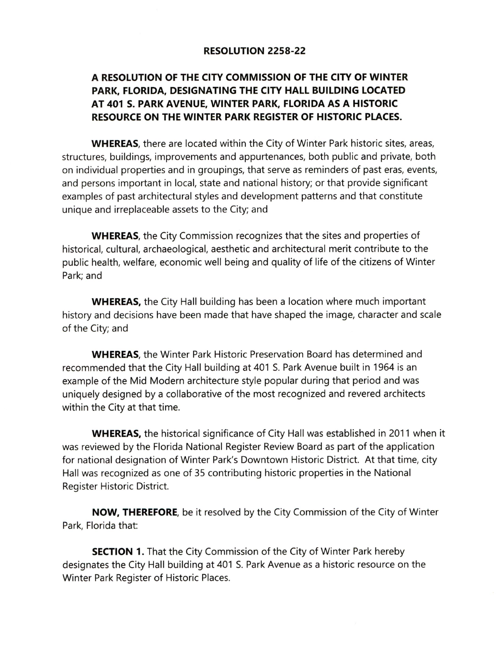## RESOLUTION 2258-22

## A RESOLUTION OF THE CITY COMMISSION OF THE CITY OF WINTER PARK, FLORIDA, DESIGNATING THE CITY HALL BUILDING LOCATED AT 401 S. PARK AVENUE, WINTER PARK, FLORIDA AS A HISTORIC RESOURCE ON THE WINTER PARK REGISTER OF HISTORIC PLACES.

WHEREAS, there are located within the City of Winter Park historic sites, areas, structures, buildings, improvements and appurtenances, both public and private, both on individual properties and in groupings, that serve as reminders of past eras, events, and persons important in local, state and national history; or that provide significant examples of past architectural styles and development patterns and that constitute unique and irreplaceable assets to the City; and

WHEREAS, the City Commission recognizes that the sites and properties of historical, cultural, archaeological, aesthetic and architectural merit contribute to the public health, welfare, economic well being and quality of life of the citizens of Winter Park; and

WHEREAS, the City Hall building has been a location where much important history and decisions have been made that have shaped the image, character and scale of the City; and

WHEREAS, the Winter Park Historic Preservation Board has determined and recommended that the City Hall building at 401 S. Park Avenue built in 1964 is an example of the Mid Modern architecture style popular during that period and was uniquely designed by a collaborative of the most recognized and revered architects within the City at that time.

WHEREAS, the historical significance of City Hall was established in 2011 when it was reviewed by the Florida National Register Review Board as part of the application for national designation of Winter Park's Downtown Historic District. At that time, city Hall was recognized as one of 35 contributing historic properties in the National Register Historic District.

NOW, THEREFORE, be it resolved by the City Commission of the City of Winter Park, Florida that:

**SECTION 1.** That the City Commission of the City of Winter Park hereby designates the City Hall building at 401 S. Park Avenue as a historic resource on the Winter Park Register of Historic Places.